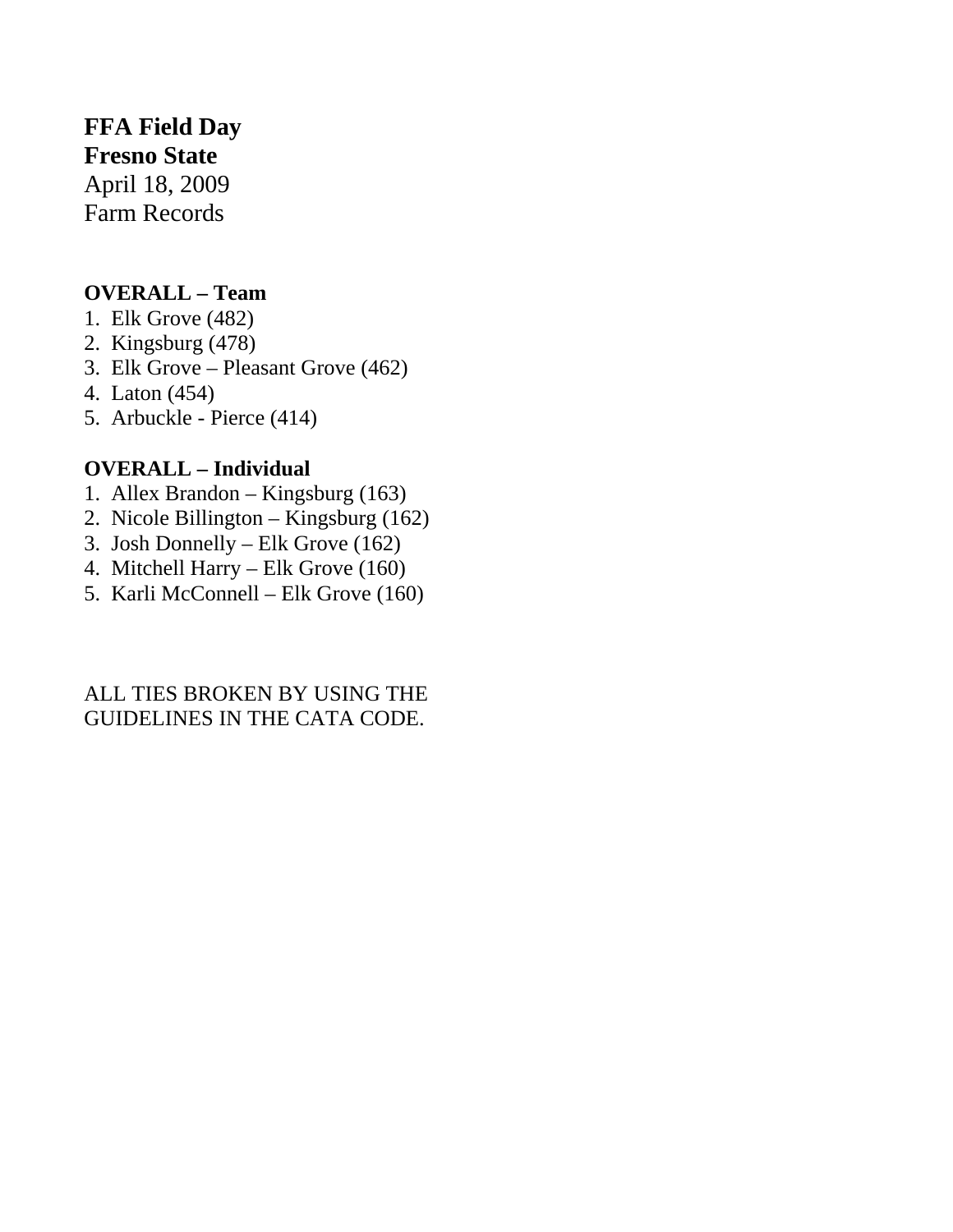## **FFA Field Day**

**Fresno State**  April 18, 2009 Farm Records

## **OVERALL – Team**

- 1. Elk Grove (482)
- 2. Kingsburg (478)
- 3. Elk Grove Pleasant Grove (462)
- 4. Laton (454)
- 5. Arbuckle Pierce (414)

## **OVERALL – Individual**

- 1. Allex Brandon Kingsburg (163)
- 2. Nicole Billington Kingsburg (162)
- 3. Josh Donnelly Elk Grove (162)
- 4. Mitchell Harry Elk Grove (160)
- 5. Karli McConnell Elk Grove (160)

## ALL TIES BROKEN BY USING THE GUIDELINES IN THE CATA CODE.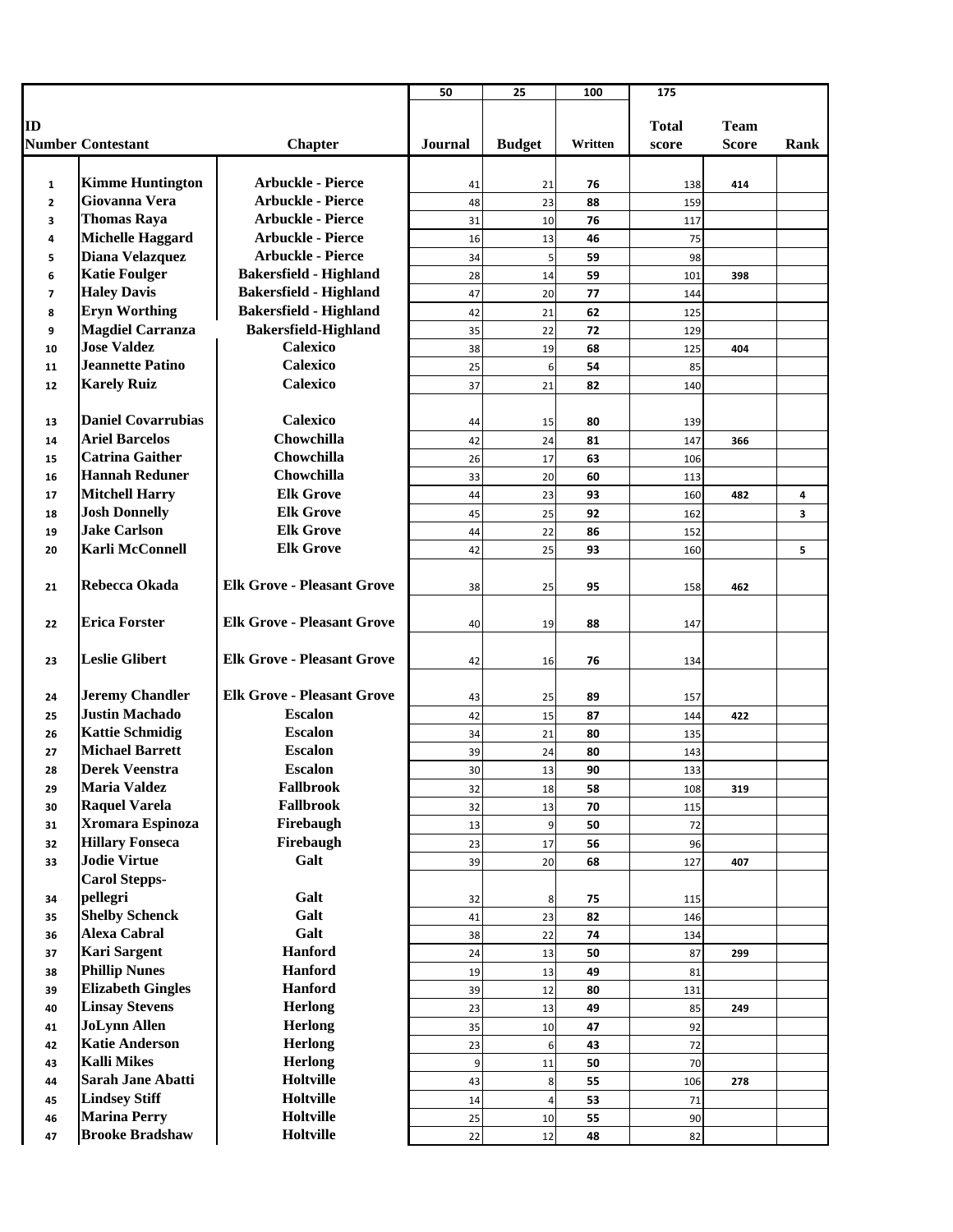|                |                           |                                   | 50             | 25             | 100     | 175          |              |      |
|----------------|---------------------------|-----------------------------------|----------------|----------------|---------|--------------|--------------|------|
|                |                           |                                   |                |                |         |              |              |      |
| ID             |                           |                                   |                |                |         | <b>Total</b> | <b>Team</b>  |      |
|                | <b>Number Contestant</b>  | <b>Chapter</b>                    | <b>Journal</b> | <b>Budget</b>  | Written | score        | <b>Score</b> | Rank |
|                |                           |                                   |                |                |         |              |              |      |
| $\mathbf{1}$   | <b>Kimme Huntington</b>   | <b>Arbuckle - Pierce</b>          | 41             | 21             | 76      | 138          | 414          |      |
| $\overline{2}$ | Giovanna Vera             | <b>Arbuckle - Pierce</b>          | 48             | 23             | 88      | 159          |              |      |
| 3              | <b>Thomas Raya</b>        | <b>Arbuckle - Pierce</b>          | 31             | 10             | 76      | 117          |              |      |
| 4              | <b>Michelle Haggard</b>   | <b>Arbuckle - Pierce</b>          | 16             | 13             | 46      | 75           |              |      |
| 5              | Diana Velazquez           | <b>Arbuckle - Pierce</b>          | 34             | 5              | 59      | 98           |              |      |
| 6              | <b>Katie Foulger</b>      | <b>Bakersfield - Highland</b>     | 28             | 14             | 59      | 101          | 398          |      |
| 7              | <b>Haley Davis</b>        | <b>Bakersfield - Highland</b>     | 47             | 20             | 77      | 144          |              |      |
| 8              | <b>Eryn Worthing</b>      | <b>Bakersfield - Highland</b>     | 42             | 21             | 62      | 125          |              |      |
| 9              | <b>Magdiel Carranza</b>   | <b>Bakersfield-Highland</b>       | 35             | 22             | 72      | 129          |              |      |
| 10             | <b>Jose Valdez</b>        | Calexico                          | 38             | 19             | 68      | 125          | 404          |      |
| 11             | <b>Jeannette Patino</b>   | <b>Calexico</b>                   | 25             | 6              | 54      | 85           |              |      |
| 12             | <b>Karely Ruiz</b>        | <b>Calexico</b>                   | 37             | 21             | 82      | 140          |              |      |
|                |                           |                                   |                |                |         |              |              |      |
| 13             | <b>Daniel Covarrubias</b> | <b>Calexico</b>                   | 44             | 15             | 80      | 139          |              |      |
| 14             | <b>Ariel Barcelos</b>     | Chowchilla                        | 42             | 24             | 81      | 147          | 366          |      |
| 15             | <b>Catrina Gaither</b>    | Chowchilla                        | 26             | 17             | 63      | 106          |              |      |
| 16             | <b>Hannah Reduner</b>     | Chowchilla                        | 33             | 20             | 60      | 113          |              |      |
| 17             | <b>Mitchell Harry</b>     | <b>Elk Grove</b>                  | 44             | 23             | 93      | 160          | 482          | 4    |
| 18             | <b>Josh Donnelly</b>      | <b>Elk Grove</b>                  | 45             | 25             | 92      | 162          |              | 3    |
| 19             | <b>Jake Carlson</b>       | <b>Elk Grove</b>                  | 44             | 22             | 86      | 152          |              |      |
| 20             | <b>Karli McConnell</b>    | <b>Elk Grove</b>                  | 42             | 25             | 93      | 160          |              | 5    |
|                |                           |                                   |                |                |         |              |              |      |
| 21             | Rebecca Okada             | <b>Elk Grove - Pleasant Grove</b> | 38             | 25             | 95      | 158          | 462          |      |
|                |                           |                                   |                |                |         |              |              |      |
| 22             | <b>Erica Forster</b>      | <b>Elk Grove - Pleasant Grove</b> | 40             | 19             | 88      | 147          |              |      |
|                |                           |                                   |                |                |         |              |              |      |
| 23             | <b>Leslie Glibert</b>     | <b>Elk Grove - Pleasant Grove</b> | 42             | 16             | 76      | 134          |              |      |
|                |                           |                                   |                |                |         |              |              |      |
| 24             | <b>Jeremy Chandler</b>    | <b>Elk Grove - Pleasant Grove</b> | 43             | 25             | 89      | 157          |              |      |
| 25             | <b>Justin Machado</b>     | <b>Escalon</b>                    | 42             | 15             | 87      | 144          | 422          |      |
| 26             | <b>Kattie Schmidig</b>    | <b>Escalon</b>                    | 34             | 21             | 80      | 135          |              |      |
| 27             | <b>Michael Barrett</b>    | <b>Escalon</b>                    | 39             | 24             | 80      | 143          |              |      |
| 28             | <b>Derek Veenstra</b>     | <b>Escalon</b>                    | 30             | 13             | 90      | 133          |              |      |
| 29             | Maria Valdez              | <b>Fallbrook</b>                  | 32             | 18             | 58      | 108          | 319          |      |
| 30             | <b>Raquel Varela</b>      | Fallbrook                         | 32             | 13             | 70      | 115          |              |      |
| 31             | Xromara Espinoza          | Firebaugh                         | 13             | 9              | 50      | 72           |              |      |
| 32             | <b>Hillary Fonseca</b>    | Firebaugh                         | 23             | 17             | 56      | 96           |              |      |
| 33             | <b>Jodie Virtue</b>       | Galt                              | 39             | 20             | 68      | 127          | 407          |      |
|                | <b>Carol Stepps-</b>      |                                   |                |                |         |              |              |      |
| 34             | pellegri                  | Galt                              | 32             | 8              | 75      | 115          |              |      |
| 35             | <b>Shelby Schenck</b>     | Galt                              | 41             | 23             | 82      | 146          |              |      |
| 36             | <b>Alexa Cabral</b>       | Galt                              | 38             | 22             | 74      | 134          |              |      |
| 37             | <b>Kari Sargent</b>       | Hanford                           | 24             | 13             | 50      | 87           | 299          |      |
| 38             | <b>Phillip Nunes</b>      | <b>Hanford</b>                    | 19             | 13             | 49      | 81           |              |      |
| 39             | <b>Elizabeth Gingles</b>  | <b>Hanford</b>                    | 39             | 12             | 80      | 131          |              |      |
| 40             | <b>Linsay Stevens</b>     | Herlong                           | 23             | 13             | 49      | 85           | 249          |      |
| 41             | <b>JoLynn Allen</b>       | <b>Herlong</b>                    | 35             | 10             | 47      | 92           |              |      |
| 42             | <b>Katie Anderson</b>     | Herlong                           | 23             | 6              | 43      | 72           |              |      |
| 43             | <b>Kalli Mikes</b>        | Herlong                           | 9              | 11             | 50      | 70           |              |      |
| 44             | <b>Sarah Jane Abatti</b>  | Holtville                         | 43             | 8              | 55      | 106          | 278          |      |
| 45             | <b>Lindsey Stiff</b>      | Holtville                         | 14             | $\overline{4}$ | 53      | 71           |              |      |
| 46             | <b>Marina Perry</b>       | Holtville                         | 25             | 10             | 55      | 90           |              |      |
| 47             | <b>Brooke Bradshaw</b>    | Holtville                         | 22             | 12             | 48      | 82           |              |      |